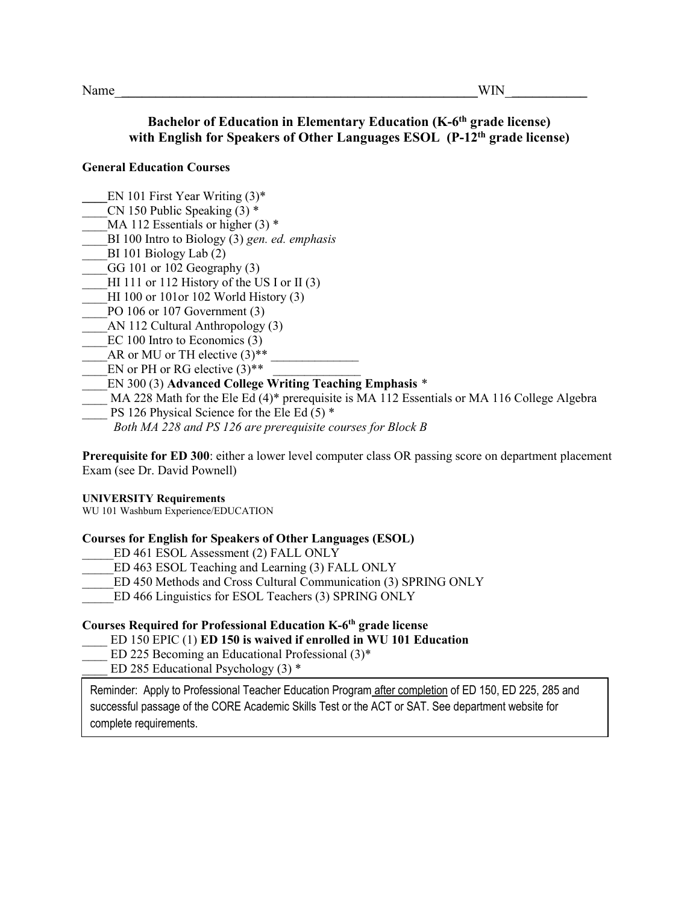## **Bachelor of Education in Elementary Education (K-6th grade license) with English for Speakers of Other Languages ESOL (P-12th grade license)**

### **General Education Courses**

- EN 101 First Year Writing (3)<sup>\*</sup>
- CN 150 Public Speaking  $(3)$  \*
- MA 112 Essentials or higher  $(3)$  \*
- \_\_\_\_BI 100 Intro to Biology (3) *gen. ed. emphasis*
- $BI$  101 Biology Lab  $(2)$
- GG 101 or 102 Geography  $(3)$
- HI 111 or 112 History of the US I or II  $(3)$
- HI 100 or 101or 102 World History  $(3)$
- PO 106 or 107 Government (3)
- AN 112 Cultural Anthropology (3)
- EC 100 Intro to Economics (3)
- AR or MU or TH elective  $(3)^{**}$
- EN or PH or RG elective  $(3)$ <sup>\*\*</sup>
- \_\_\_\_EN 300 (3) **Advanced College Writing Teaching Emphasis** *\**
- $MA$  228 Math for the Ele Ed (4)\* prerequisite is MA 112 Essentials or MA 116 College Algebra
- PS 126 Physical Science for the Ele Ed  $(5)$  \*
	- *Both MA 228 and PS 126 are prerequisite courses for Block B*

**Prerequisite for ED 300**: either a lower level computer class OR passing score on department placement Exam (see Dr. David Pownell)

#### **UNIVERSITY Requirements**

WU 101 Washburn Experience/EDUCATION

#### **Courses for English for Speakers of Other Languages (ESOL)**

- ED 461 ESOL Assessment (2) FALL ONLY
- ED 463 ESOL Teaching and Learning (3) FALL ONLY
- ED 450 Methods and Cross Cultural Communication (3) SPRING ONLY
- ED 466 Linguistics for ESOL Teachers (3) SPRING ONLY

#### **Courses Required for Professional Education K-6th grade license**

- \_\_\_\_ ED 150 EPIC (1) **ED 150 is waived if enrolled in WU 101 Education**
- ED 225 Becoming an Educational Professional  $(3)^*$
- ED 285 Educational Psychology  $(3)$  \*

Reminder: Apply to Professional Teacher Education Program after completion of ED 150, ED 225, 285 and successful passage of the CORE Academic Skills Test or the ACT or SAT. See department website for complete requirements.